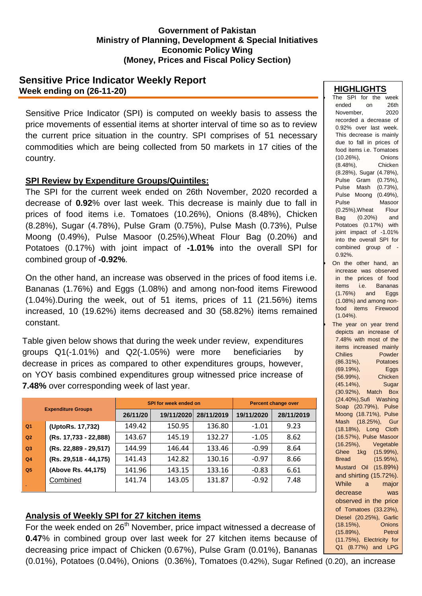#### **Government of Pakistan Ministry of Planning, Development & Special Initiatives Economic Policy Wing (Money, Prices and Fiscal Policy Section)**

# **Sensitive Price Indicator Weekly Report Week ending on (26-11-20)**

Sensitive Price Indicator (SPI) is computed on weekly basis to assess the price movements of essential items at shorter interval of time so as to review the current price situation in the country. SPI comprises of 51 necessary commodities which are being collected from 50 markets in 17 cities of the country.

### **SPI Review by Expenditure Groups/Quintiles:**

The SPI for the current week ended on 26th November, 2020 recorded a decrease of **0.92**% over last week. This decrease is mainly due to fall in prices of food items i.e. Tomatoes (10.26%), Onions (8.48%), Chicken (8.28%), Sugar (4.78%), Pulse Gram (0.75%), Pulse Mash (0.73%), Pulse Moong (0.49%), Pulse Masoor (0.25%),Wheat Flour Bag (0.20%) and Potatoes (0.17%) with joint impact of **-1.01%** into the overall SPI for combined group of **-0.92%**.

On the other hand, an increase was observed in the prices of food items i.e. Bananas (1.76%) and Eggs (1.08%) and among non-food items Firewood (1.04%).During the week, out of 51 items, prices of 11 (21.56%) items increased, 10 (19.62%) items decreased and 30 (58.82%) items remained constant.

Table given below shows that during the week under review, expenditures groups Q1(-1.01%) and Q2(-1.05%) were more beneficiaries by decrease in prices as compared to other expenditures groups, however, on YOY basis combined expenditures group witnessed price increase of **7.48%** over corresponding week of last year.

| <b>Expenditure Groups</b> |                       |          | SPI for week ended on | <b>Percent change over</b> |            |            |
|---------------------------|-----------------------|----------|-----------------------|----------------------------|------------|------------|
|                           |                       | 26/11/20 | 19/11/2020            | 28/11/2019                 | 19/11/2020 | 28/11/2019 |
| Q <sub>1</sub>            | (UptoRs. 17,732)      | 149.42   | 150.95                | 136.80                     | $-1.01$    | 9.23       |
| Q2                        | (Rs. 17,733 - 22,888) | 143.67   | 145.19                | 132.27                     | $-1.05$    | 8.62       |
| Q3                        | (Rs. 22,889 - 29,517) | 144.99   | 146.44                | 133.46                     | $-0.99$    | 8.64       |
| Q <sub>4</sub>            | (Rs. 29,518 - 44,175) | 141.43   | 142.82                | 130.16                     | $-0.97$    | 8.66       |
| Q <sub>5</sub>            | (Above Rs. 44,175)    | 141.96   | 143.15                | 133.16                     | $-0.83$    | 6.61       |
|                           | Combined              | 141.74   | 143.05                | 131.87                     | $-0.92$    | 7.48       |

# **Analysis of Weekly SPI for 27 kitchen items**

For the week ended on 26<sup>th</sup> November, price impact witnessed a decrease of **0.47**% in combined group over last week for 27 kitchen items because of decreasing price impact of Chicken (0.67%), Pulse Gram (0.01%), Bananas **HIGHLIGHTS**

| The SPI for the week                                                                                                    |
|-------------------------------------------------------------------------------------------------------------------------|
| ended<br>26th<br>on                                                                                                     |
| November,<br>2020                                                                                                       |
| recorded a decrease of                                                                                                  |
| 0.92% over last week.                                                                                                   |
| This decrease is mainly                                                                                                 |
|                                                                                                                         |
| due to fall in prices of<br>food items i.e. Tomatoes                                                                    |
|                                                                                                                         |
| $(10.26\%)$<br>Onions<br>Chicken                                                                                        |
| $(8.48\%),$                                                                                                             |
| (8.28%), Sugar (4.78%),                                                                                                 |
| Pulse Gram (0.75%),                                                                                                     |
| Pulse Mash (0.73%),                                                                                                     |
| Pulse Moong (0.49%),                                                                                                    |
| Masoor<br>Pulse                                                                                                         |
| (0.25%), Wheat<br>Flour                                                                                                 |
| Bag (0.20%)<br>Potetect<br>and                                                                                          |
| Potatoes (0.17%) with                                                                                                   |
| joint impact of -1.01%                                                                                                  |
| into the overall SPI for                                                                                                |
| combined group of                                                                                                       |
| $0.92%$ .                                                                                                               |
| On the other hand, an                                                                                                   |
| increase was observed                                                                                                   |
|                                                                                                                         |
| in the prices of food<br>items i.e. Bananas<br>(1.76%) and Eggs                                                         |
|                                                                                                                         |
| (1.08%) and among non-                                                                                                  |
|                                                                                                                         |
| food items Firewood<br>$(1.04\%)$ .                                                                                     |
|                                                                                                                         |
| The year on year trend                                                                                                  |
| depicts an increase of                                                                                                  |
| 7.48% with most of the                                                                                                  |
| items increased mainly                                                                                                  |
| Powder<br>Chilies                                                                                                       |
| $(86.31\%),$<br>Potatoes<br>(86.31%), Lateral (69.19%), Eggs<br>(56.99%), Chicken<br>(56.99%), Chicken<br>Chicken Sugar |
|                                                                                                                         |
|                                                                                                                         |
| (45.14%), Sugar<br>(30.92%), Match Box                                                                                  |
|                                                                                                                         |
| (24.40%), Sufi Washing                                                                                                  |
| Soap (20.79%), Pulse                                                                                                    |
| Moong (18.71%), Pulse                                                                                                   |
| $(18.25\%),$<br>Mash<br>Gur                                                                                             |
| $(18.18\%),$<br>Long<br>Cloth                                                                                           |
| (16.57%), Pulse Masoor                                                                                                  |
| $(16.25\%),$<br>Vegetable                                                                                               |
| 1kg<br>$(15.99\%),$<br>Ghee                                                                                             |
| <b>Bread</b><br>$(15.95\%),$                                                                                            |
| (15.89%)<br>Mustard<br>Oil                                                                                              |
| and shirting (15.72%).                                                                                                  |
| While<br>major<br>a                                                                                                     |
|                                                                                                                         |
| decrease<br>was                                                                                                         |
| observed in the price                                                                                                   |
| of Tomatoes (33.23%),                                                                                                   |
| Diesel (20.25%), Garlic                                                                                                 |
| $(18.15\%),$<br>Onions                                                                                                  |
| $(15.89\%),$<br>Petrol                                                                                                  |
| (11.75%), Electricity for                                                                                               |
| Q1 (8.77%) and<br><b>LPG</b>                                                                                            |
|                                                                                                                         |

(0.01%), Potatoes (0.04%), Onions (0.36%), Tomatoes (0.42%), Sugar Refined (0.20), an increase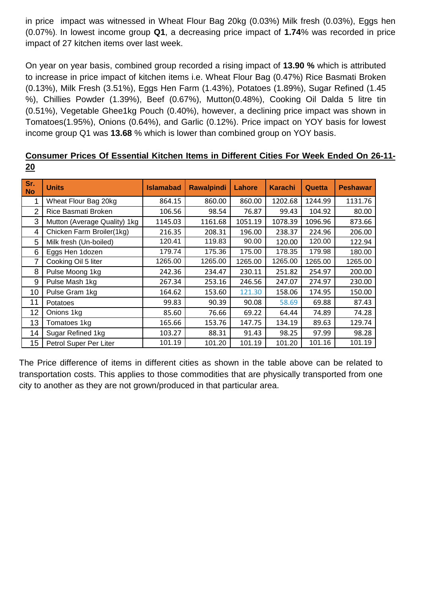in price impact was witnessed in Wheat Flour Bag 20kg (0.03%) Milk fresh (0.03%), Eggs hen (0.07%). In lowest income group **Q1**, a decreasing price impact of **1.74**% was recorded in price impact of 27 kitchen items over last week.

On year on year basis, combined group recorded a rising impact of **13.90 %** which is attributed to increase in price impact of kitchen items i.e. Wheat Flour Bag (0.47%) Rice Basmati Broken (0.13%), Milk Fresh (3.51%), Eggs Hen Farm (1.43%), Potatoes (1.89%), Sugar Refined (1.45 %), Chillies Powder (1.39%), Beef (0.67%), Mutton(0.48%), Cooking Oil Dalda 5 litre tin (0.51%), Vegetable Ghee1kg Pouch (0.40%), however, a declining price impact was shown in Tomatoes(1.95%), Onions (0.64%), and Garlic (0.12%). Price impact on YOY basis for lowest income group Q1 was **13.68** % which is lower than combined group on YOY basis.

|    | Consumer Prices Of Essential Kitchen Items in Different Cities For Week Ended On 26-11- |  |  |  |  |  |
|----|-----------------------------------------------------------------------------------------|--|--|--|--|--|
| 20 |                                                                                         |  |  |  |  |  |

| Sr.<br><b>No</b> | <b>Units</b>                 | <b>Islamabad</b> | <b>Rawalpindi</b> | Lahore  | <b>Karachi</b> | Quetta  | <b>Peshawar</b> |
|------------------|------------------------------|------------------|-------------------|---------|----------------|---------|-----------------|
| 1                | Wheat Flour Bag 20kg         | 864.15           | 860.00            | 860.00  | 1202.68        | 1244.99 | 1131.76         |
| 2                | Rice Basmati Broken          | 106.56           | 98.54             | 76.87   | 99.43          | 104.92  | 80.00           |
| 3                | Mutton (Average Quality) 1kg | 1145.03          | 1161.68           | 1051.19 | 1078.39        | 1096.96 | 873.66          |
| 4                | Chicken Farm Broiler(1kg)    | 216.35           | 208.31            | 196.00  | 238.37         | 224.96  | 206.00          |
| 5                | Milk fresh (Un-boiled)       | 120.41           | 119.83            | 90.00   | 120.00         | 120.00  | 122.94          |
| 6                | Eggs Hen 1dozen              | 179.74           | 175.36            | 175.00  | 178.35         | 179.98  | 180.00          |
| 7                | Cooking Oil 5 liter          | 1265.00          | 1265.00           | 1265.00 | 1265.00        | 1265.00 | 1265.00         |
| 8                | Pulse Moong 1kg              | 242.36           | 234.47            | 230.11  | 251.82         | 254.97  | 200.00          |
| 9                | Pulse Mash 1kg               | 267.34           | 253.16            | 246.56  | 247.07         | 274.97  | 230.00          |
| 10               | Pulse Gram 1kg               | 164.62           | 153.60            | 121.30  | 158.06         | 174.95  | 150.00          |
| 11               | Potatoes                     | 99.83            | 90.39             | 90.08   | 58.69          | 69.88   | 87.43           |
| 12               | Onions 1kg                   | 85.60            | 76.66             | 69.22   | 64.44          | 74.89   | 74.28           |
| 13               | Tomatoes 1kg                 | 165.66           | 153.76            | 147.75  | 134.19         | 89.63   | 129.74          |
| 14               | Sugar Refined 1kg            | 103.27           | 88.31             | 91.43   | 98.25          | 97.99   | 98.28           |
| 15               | Petrol Super Per Liter       | 101.19           | 101.20            | 101.19  | 101.20         | 101.16  | 101.19          |

The Price difference of items in different cities as shown in the table above can be related to transportation costs. This applies to those commodities that are physically transported from one city to another as they are not grown/produced in that particular area.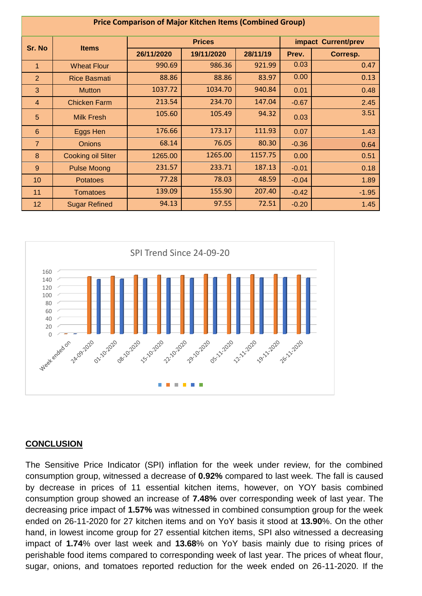| <b>Price Comparison of Major Kitchen Items (Combined Group)</b> |                      |            |               |                     |         |          |  |  |
|-----------------------------------------------------------------|----------------------|------------|---------------|---------------------|---------|----------|--|--|
| Sr. No                                                          | <b>Items</b>         |            | <b>Prices</b> | impact Current/prev |         |          |  |  |
|                                                                 |                      | 26/11/2020 | 19/11/2020    | 28/11/19            | Prev.   | Corresp. |  |  |
| $\mathbf{1}$                                                    | <b>Wheat Flour</b>   | 990.69     | 986.36        | 921.99              | 0.03    | 0.47     |  |  |
| 2                                                               | <b>Rice Basmati</b>  | 88.86      | 88.86         | 83.97               | 0.00    | 0.13     |  |  |
| 3                                                               | <b>Mutton</b>        | 1037.72    | 1034.70       | 940.84              | 0.01    | 0.48     |  |  |
| $\overline{4}$                                                  | <b>Chicken Farm</b>  | 213.54     | 234.70        | 147.04              | $-0.67$ | 2.45     |  |  |
| 5                                                               | <b>Milk Fresh</b>    | 105.60     | 105.49        | 94.32               | 0.03    | 3.51     |  |  |
| 6                                                               | Eggs Hen             | 176.66     | 173.17        | 111.93              | 0.07    | 1.43     |  |  |
| $\overline{7}$                                                  | <b>Onions</b>        | 68.14      | 76.05         | 80.30               | $-0.36$ | 0.64     |  |  |
| 8                                                               | Cooking oil 5liter   | 1265.00    | 1265.00       | 1157.75             | 0.00    | 0.51     |  |  |
| 9                                                               | <b>Pulse Moong</b>   | 231.57     | 233.71        | 187.13              | $-0.01$ | 0.18     |  |  |
| 10                                                              | <b>Potatoes</b>      | 77.28      | 78.03         | 48.59               | $-0.04$ | 1.89     |  |  |
| 11                                                              | <b>Tomatoes</b>      | 139.09     | 155.90        | 207.40              | $-0.42$ | $-1.95$  |  |  |
| 12                                                              | <b>Sugar Refined</b> | 94.13      | 97.55         | 72.51               | $-0.20$ | 1.45     |  |  |



# **CONCLUSION**

The Sensitive Price Indicator (SPI) inflation for the week under review, for the combined consumption group, witnessed a decrease of **0.92%** compared to last week. The fall is caused by decrease in prices of 11 essential kitchen items, however, on YOY basis combined consumption group showed an increase of **7.48%** over corresponding week of last year. The decreasing price impact of **1.57%** was witnessed in combined consumption group for the week ended on 26-11-2020 for 27 kitchen items and on YoY basis it stood at **13.90**%. On the other hand, in lowest income group for 27 essential kitchen items, SPI also witnessed a decreasing impact of **1.74**% over last week and **13.68**% on YoY basis mainly due to rising prices of perishable food items compared to corresponding week of last year. The prices of wheat flour, sugar, onions, and tomatoes reported reduction for the week ended on 26-11-2020. If the